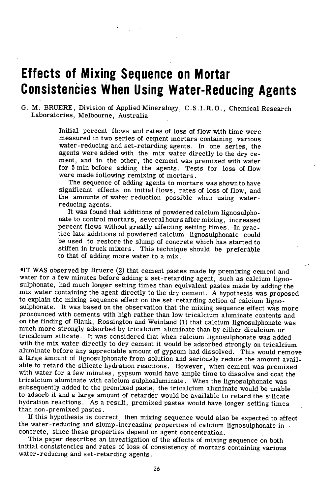# **Effects of Mixing Sequence on Mortar Consistencies When Using Water-Reducing Agents**

G. M. BRUERE, Division of Applied Mineralogy, C.S.I.R.O., Chemical Research Laboratories, Melbourne, Australia

> Initial percent flows and rates of loss of flow with time were measured in two series of cement mortars containing various water-reducing and set-retarding agents. In one series, the agents were added with the mix water directly to the dry cement, and in the other, the cement was premixed with water for 5 min before adding the agents. Tests for loss of flow were made following remixing of mortars.

> The sequence of adding agents to mortars was shown to have significant effects on initial flows, rates of loss of flow, and the amounts of water reduction possible when using waterreducing agents.

> It was found that additions of powdered calcium lignosulphonate to control mortars, several hours after mixing, increased percent flows without greatly affecting setting times. In practice late additions of powdered calcium lignosulphonate could be used to restore the slump of concrete which has started to stiffen in truck mixers. This technique should be preferable to that of adding more water to a mix.

IT WAS observed by Bruere (2) that cement pastes made by premixing cement and water for a few minutes before adding a set-retarding agent, such as calcium lignosulphonate, had much longer setting times than equivalent pastes made by adding the mix water containing the agent directly to the dry cement. A hypothesis was proposed to explain the mixing sequence effect on the set-retarding action of calcium lignosulphonate. It was based on the observation that the mixing sequence effect was more pronounced with cements with high rather than low tricalcium aluminate contents and on the finding of Blank, Rossington and Weinland (!) that calcium lignosulphonate was much more strongly adsorbed by tricalcium aluminate than by either dicalcium or tricalcium silicate. It was considered that when calcium lignosulphonate was added with the mix water directly to dry cement it would be adsorbed strongly on tricalcium aluminate before any appreciable amount of gypsum had dissolved. This would remove a large amount of lignosulphonate from solution and seriously reduce the amount available to retard the silicate hydration reactions. However, when cement was premixed with water for a few minutes, gypsum would have ample time to dissolve and coat the tricalcium aluminate with calcium sulphoaluminate. When the lignosulphonate was subsequently added to the premixed paste, the tricalcium aluminate would be unable to adsorb it and a large amount of retarder would be available to retard the silicate hydration reactions. As a result, premixed pastes would have longer setting times than non-premixed pastes.

If this hypothesis is correct, then mixing sequence would also be expected to affect the water-reducing and slump-increasing properties of calcium lignosulphonate in concrete, since these properties depend on agent concentration.

This paper describes an investigation of the effects of mixing sequence on both initial consistencies and rates of loss of consistency of mortars containing various water-reducing and set-retarding agents.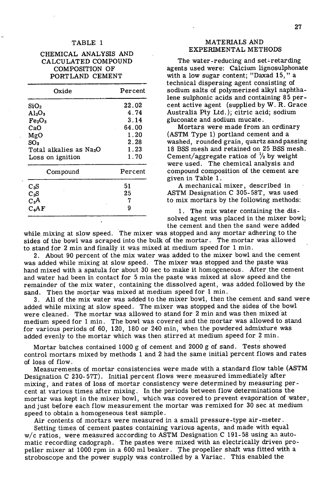### **TABLE** 1

## **CHEMICAL ANALYSIS AND CALCULATED COMPOUND COMPOSITION OF**  PORTLAND CEMENT

| Oxide                          | Percent |
|--------------------------------|---------|
| SiO2                           | 22.02   |
| Al <sub>2</sub> O <sub>3</sub> | 4.74    |
| Fe <sub>2</sub> O <sub>3</sub> | 3.14    |
| CaO                            | 64.00   |
| MgO                            | 1.20    |
| SO <sub>3</sub>                | 2.28    |
| Total alkalies as Na2O         | 1.23    |
| Loss on ignition               | 1.70    |
| Compound                       | Percent |
| C <sub>3</sub> S               | 51      |
| C.S                            | 25      |
| C <sub>s</sub> A               | 7       |
| $\mathbf{C.AF}$                | 9       |

## MATERIALS AND EXPERIMENTAL METHODS

The water-reducing and set-retarding agents used were: Calcium lignosulphonate with a low sugar content; "Daxad 15," a technical dispersing agent consisting of sodium salts of polymerized alkyl naphthalene suiphonic acids and containing 85 percent active agent (supplied by W. R. Grace Australia Pty Ltd.); citric acid; sodium gluconate and sodium mucate.

Mortars were made from an ordinary (ASTM Type 1) portland cement and a washed, rounded grain, quartz sand passing 18 BSS mesh and retained on 25 BSS mesh. Cement/aggregate ratios of  $\frac{1}{2}$  by weight were used. The chemical analysis and compound composition of the cement are given in Table 1.

A mechanical mixer, described in ASTM Designation C 305-58T, was used to mix mortars by the following methods:

1. The mix water containing the dissolved agent was placed in the mixer bowl; the cement and then the sand were added

while, mixing at slow speed. The mixer was stopped and any mortar adhering to the sides of the bowl was scraped into the bulk of the mortar. The mortar was allowed to stand for 2 min and finally it was mixed at medium speed for 1 min.

About 90 percent of the mix water was added to the mixer bowl and the cement was added while mixing at slow speed. The mixer was stopped and the paste was hand mixed with a spatula for about 30 sec to make it homogeneous. After the cement and water had been in contact for 5 min the paste was mixed at slow speed and the remainder of the mix water, containing the dissolved agent, was added followed by the sand. Then the mortar was mixed at medium speed for 1 min.

All of the mix water was added to the mixer bowl, then the cement and sand were added while mixing at slow speed. The mixer was stopped and the sides of the bowl were cleaned. The mortar was allowed to stand for 2 min and was then mixed at medium speed for 1 min. The bowl was covered and the mortar was allowed to stand for various periods of 60, 120, 180 or 240 min, when the powdered admixture was added evenly to the mortar which was then stirred at medium speed for 2 mm.

Mortar batches contained 1000 g of cement and 2000 g of sand. Tests showed control mortars mixed by methods 1 and 2 had the same initial percent flows and rates of loss of flow.

Measurements of mortar consistencies were made with a standard flow table (ASTM Designation C 230-57T). Initial percent flows were measured immediately after mixing, and rates of loss of mortar consistency were determined by measuring percent at various times alter mixing. In the periods between flow determinations the mortar was kept in the mixer bowl, which was covered to prevent evaporation of water, and just before each flow measurement the mortar was remixed for 30 sec at medium speed to obtain a homogeneous test sample.

Air contents of mortars were measured in a small pressure-type air-meter.

Setting times of cement pastes containing various agents, and made with equal w/c ratios, were measured according to ASTM Designation C 191-58 using an automatic recording cadograph. The pastes were mixed with an electrically driven propeller mixer at 1000 rpm in a 600 ml beaker. The propeller shaft was fitted with a stroboscope and the power supply was controlled by a Variac. This enabled the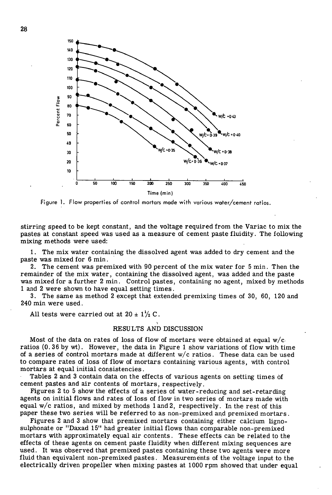

Figure 1. Flow properties of control mortars made with various water/cement ratios.

stirring speed to be kept constant, and the voltage required from the Variac to mix the pastes at constant speed was used as a measure of cement paste fluidity. The following mixing methods were used:

1. The mix water containing the dissolved agent was added to dry cement and the paste was mixed for 6 min.

2. The cement was premixed with 90 percent of the mix water for 5 min. Then the remainder of the mix water, containing the dissolved agent, was added and the paste was mixed for a further 2 min. Control pastes, containing no agent, mixed by methods 1 and 2 were shown to have equal setting times.

The same as method 2 except that extended premixing times of 30, 60, 120 and 240 min were used.

All tests were carried out at  $20 \pm 1\frac{1}{2}$  C.

## RESULTS AND DISCUSSION

Most of the data on rates of loss of flow of mortars were obtained at equal  $w/c$ . ratios (0. 36 by wt). However, the data in Figure 1 show variations of flow with time of a series of control mortars made at different w/c ratios. These data can be used to compare rates of loss of flow of mortars containing various agents, with control mortars at equal initial consistencies.

Tables 2 and 3 contain data on the effects of various agents on setting times of cement pastes and air contents of mortars, respectively.

Figures 2 to 5 show the effects of a series of water-reducing and set-retarding agents on initial flows and rates of loss of flow in two series of mortars made with equal w/c ratios, and mixed by methods land 2, respectively. In the rest of this paper these two series will be referred to as non-premixed and premixed mortars.

Figures 2 and 3 show that premixed mortars containing either calcium lignosulphonate or "Daxad 15" had greater initial flows than comparable non-premixed mortars with approximately equal air contents. These effects can be related to the effects of these agents on cement paste fluidity when different mixing sequences are used. It was observed that premixed pastes containing these two agents were more fluid than equivalent non-premixed pastes. Measurements of the voltage input to the electrically driven propeller when mixing pastes at 1000 rpm showed that under equal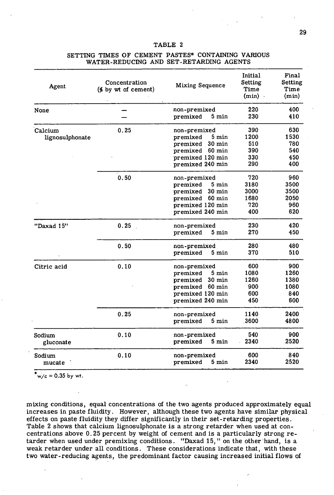## TABLE 2

| Agent                      | Concentration<br>( <i>L</i> ) by wt of cement) | <b>Mixing Sequence</b>                                                                                                                    | Initial<br>Setting<br>Time<br>$(min)$ .   | Final<br>Setting<br>Time<br>(min)         |
|----------------------------|------------------------------------------------|-------------------------------------------------------------------------------------------------------------------------------------------|-------------------------------------------|-------------------------------------------|
| None                       |                                                | non-premixed<br>$5 \text{ min}$<br>premixed                                                                                               | 220<br>230                                | 400<br>410                                |
| Calcium<br>lignosulphonate | 0.25                                           | non-premixed<br>5 min<br>premixed<br>30 min<br>premixed<br>$60$ min<br>premixed<br>premixed 120 min<br>premixed 240 min                   | 390<br>1200<br>510<br>390<br>330<br>290   | 630<br>1530<br>780<br>540<br>450<br>400   |
|                            | 0.50                                           | non-premixed<br>5 min<br>premixed<br>$30 \text{ min}$<br>premixed<br>$60 \text{ min}$<br>premixed<br>premixed 120 min<br>premixed 240 min | 720<br>3180<br>3000<br>1680<br>720<br>400 | 960<br>3500<br>3500<br>2050<br>960<br>620 |
| "Daxad 15"                 | 0.25                                           | non-premixed<br>premixed<br>5 min                                                                                                         | 230<br>270                                | 420<br>450                                |
|                            | 0.50                                           | non-premixed<br>premixed<br>5 min                                                                                                         | 280<br>370                                | 480<br>510                                |
| Citric acid                | 0.10                                           | non-premixed<br>5 min<br>premixed<br>$30 \text{ min}$<br>premixed<br>60 min<br>premixed<br>premixed 120 min<br>premixed 240 min           | 600<br>1080<br>1260<br>900<br>600<br>450  | 900<br>1260<br>1380<br>1080<br>840<br>600 |
|                            | 0.25                                           | non-premixed<br>premixed<br>5 min                                                                                                         | 1140<br>3600                              | 2400<br>4800                              |
| Sodium<br>gluconate        | 0.10                                           | non-premixed<br>premixed<br>5 min                                                                                                         | 540<br>2340                               | 900<br>2520                               |
| Sodium<br>mucate           | 0.10                                           | non-premixed<br>5 min<br>premixed                                                                                                         | 600<br>2340                               | 840<br>2520                               |

#### SETTING TIMES OF CEMENT PASTES\* CONTAINING VARIOUS WATER-REDUCING AND SET-RETARDING AGENTS

 $w/c = 0.35$  by wt.

mixing conditions, equal concentrations of the two agents produced approximately equal increases in paste fluidity. However, although these two agents have similar physical effects on paste fluidity they differ significantly in their set-retarding properties. Table 2 shows that calcium lignosuiphonate is a strong retarder when used at concentrations above 0.25 percent by weight of cement and is a particularly strong retarder when used under premixing conditions. "Daxad 15," on the other hand, is a weak retarder under all conditions. These considerations indicate that, with these two water-reducing agents, the predominant factor causing increased initial flows of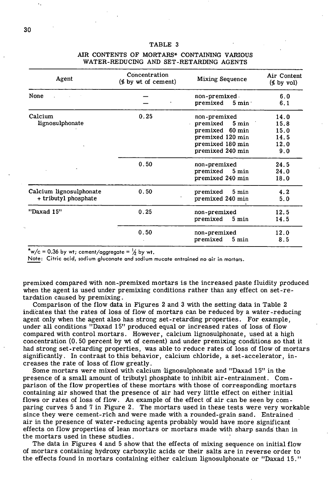#### TABLE 3

| Agent                                           | Concentration<br>$%$ by wt of cement) | <b>Mixing Sequence</b>                                                                                                     | Air Content<br>$($ by vol)                  |
|-------------------------------------------------|---------------------------------------|----------------------------------------------------------------------------------------------------------------------------|---------------------------------------------|
| None                                            |                                       | non-premixed<br>premixed<br>$5 \text{ min}$                                                                                | 6.0<br>6.1                                  |
| Calcium<br>lignosulphonate                      | 0.25                                  | non-premixed<br>premixed<br>$5 \text{ min}$<br>premixed 60 min<br>premixed 120 min<br>premixed 180 min<br>premixed 240 min | 14.0<br>15.8<br>15.0<br>14.5<br>12.0<br>9.0 |
|                                                 | 0.50                                  | non-premixed<br>premixed 5 min<br>premixed 240 min                                                                         | 24.5<br>24.0<br>18.0                        |
| Calcium lignosulphonate<br>+ tributyl phosphate | 0.50                                  | premixed<br>5 min<br>premixed 240 min                                                                                      | 4.2<br>5.0                                  |
| "Daxad 15"                                      | 0.25                                  | non-premixed<br>premixed<br>5 min                                                                                          | 12.5<br>14.5                                |
|                                                 | 0.50                                  | non-premixed<br>premixed<br>5 min                                                                                          | 12.0<br>8.5                                 |

## *AIR* CONTENTS OF MORTARS\* CONTAINING VARIOUS WATER-REDUCING AND SET-RETARDING AGENTS

\*w/c = 0.36 by wt; cement/aggregate =  $\frac{1}{2}$  by wt.

Note: Citric acid, sodium gluconate and sodium mucate entrained no air in mortars.

premixed compared with non-premixed mortars is the increased paste fluidity produced when the agent is used under premixing conditions rather than any effect on set-retardation caused by premixing.

Comparison of the flow data in Figures 2 and 3 with the setting data in Table 2 indicates that the rates of loss of flow of mortars can be reduced by a water-reducing agent only when the agent also has strong set-retarding properties. For example, under all conditions "Daxad 15" produced equal or increased rates of loss of flow compared with control mortars. However, calcium lignosulphonate, used at a high concentration (0. 50 percent by wt of cement) and under premixing conditions so that it had strong set-retarding properties, was able to reduce rates of loss of flow of mortars significantly. In contrast to this behavior, calcium chloride, a set-accelerator, increases the rate of loss of flow greatly.

Some mortars were mixed with calcium lignosulphonate and "Daxad 15" in the presence of a small amount of tributyl phosphate to inhibit air-entrainment. Comparison of the flow properties of these mortars with those of corresponding mortars containing air showed that the presence of air had very little effect on either initial flows or rates of loss of flow. An example of the effect of air can be seen by comparing curves 5 and 7 in Figure 2. The mortars used in these tests were very workable since they were cement-rich and were made with a rounded-grain sand. Entrained air in the presence of water-reducing agents probably would have more significant effects on flow properties of lean mortars or mortars made with sharp sands than in the mortars used in these studies.

The data in Figures 4 and 5 show that the effects of mixing sequence on initial flow of mortars containing hydroxy carboxylic acids or their salts are in reverse order to the effects found in mortars containing either calcium lignosulphonate or "Daxad 15."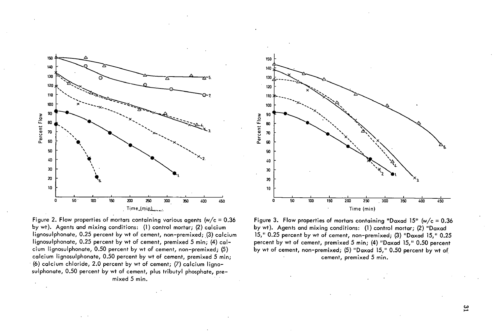

Figure 2. Flow properties of mortars containing various agents ( $w/c = 0.36$ ) by wt). Agents and mixing conditions: (1) control mortar; (2) calcium lignosulphonate, 0.25 percent by wt of cement, non-premixed; (3) calcium lignosulphonate, 0.25 percent by wt of cement, premixed 5 min; (4) calcium lignosulphonate, 0.50 percent by wt of cement, non-premixed; (5) calcium lignosulphonate, 0.50 percent by wt of cement, premixed 5 min; (6) calcium chloride, 2.0 percent by wt of cement; (7) calcium lignosulphonate, 0.50 percent by wt of cement, plus tributyl phosphate, premixed 5 min.



Figure 3. Flow properties of mortars containing "Daxad 15" ( $w/c = 0.36$ by wt). Agents and mixing conditions: (1) control mortar; (2) "Daxad 15,' 0.25 percent by wt of cement, non-premixed; (3) 'Daxad 15," 0.25 percent by wt of cement, premixed 5 min; (4) "Daxad 15," 0.50 percent by wt of cement, non-premixed; (5) 'Daxad 15,' 0.50 percent by wt of cement, premixed 5 min.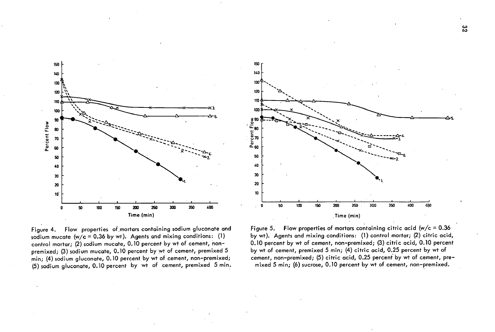

Figure 4. Flow properties of,mortars containing sodium gluconate and sodium mucate (w/c = 0.36 by wt). Agents and mixing conditions: (1) control mortar; (2) sodium mucate, 0.10 percent by wt of cement, nonpremixed; (3) sodium mucate, 0.10 percent by wt of cement, premixed 5 min; (4) sodium gluconate, 0.10 percent by wt of cement, non-premixed; (5) sodium gluconate, 0.10 percent by wt of cement, premixed 5 min.



Figure 5. Flow properties of mortars containing citric acid ( $w/c = 0.36$ ) by wt). Agents and mixing conditions: (1) control mortar; (2) citric acid, 0.10 percent by wt of cement, non-premixed; (3) citric acid, 0.10 percent by wt of cement, premixed 5 min; (4) citric acid, 0.25 percent by wt of cement, non-premixed; (5) citric acid, 0.25 percent by wt of cement, premixed 5 min; (6) sucrose, 0.10 percent by wt of cement, non-premixed.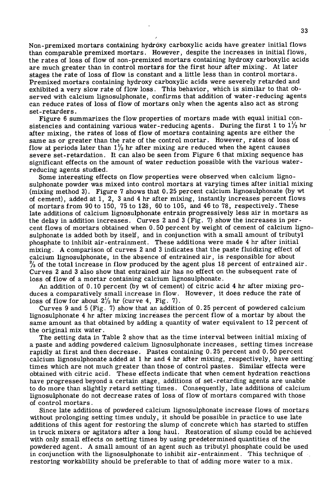Non-premixed mortars containing hydrôxy carboxylic acids have greater initial flows than comparable premixed mortars. However, despite the increases in initial flows, the rates of loss of flow of non-premixed mortars containing hydroxy carboxylic acids are much greater than in control mortars for the first hour after mixing. At later stages the rate of loss of flow is constant and a little less than in control mortars. Premixed mortars containing hydroxy carboxylic acids were severely retarded and exhibited a very slow rate of flow loss. This behavior, which is similar to that observed with calcium lignosulphonate, confirms that addition of water-reducing agents can reduce rates of loss of flow of mortars only when the agents also act as strong set-retarders.

Figure 6 summarizes the flow properties of mortars made with equal initial consistencies and containing various water-reducing agents. During the first 1 to  $1\frac{1}{2}$  hr after mixing, the rates of loss of flow of mortars containing agents are either the same as or greater than the rate of the control mortar. However, rates of loss of flow at periods later than  $1\frac{1}{2}$  hr after mixing are reduced when the agent causes severe set-retardation. It can also be seen from Figure 6 that mixing sequence has significant effects on the amount of water reduction possible with the various waterreducing agents studied.

Some interesting effects on flow properties were observed when calcium lignosulphonate powder was mixed into control mortars at varying times after initial mixing (mixing method 3). Figure 7 shows that 0.25 percent calcium lignosulphonate (by wt of cement), added at 1, 2, 3 and 4 hr after mixing, instantly increases percent flows of mortars from 90 to 150, 75 to 128, 60 to 105, and 46 to 78, respectively. These late additions of calcium lignosulphonate entrain progressively less air in mortars as the delay in addition increases. Curves 2 and 3 (Fig. 7) show the increases in percent flows of mortars obtained when 0. 50 percent by weight of cement of calcium lignosulphonate is added both by itself, and in conjunction with a small amount of tributyl phosphate to inhibit air-entrainment. These additions were made 4 hr after initial mixing. A comparison of curves 2 and 3 indicates that the paste fluidizing effect of calcium lignosulphonate, in the absence of entrained air, is responsible for about **2/3** of the total increase in flow produced by the agent plus 18 percent of entrained air. Curves 2 and 3 also show that entrained air has no effect on the subsequent rate of loss of flow of a mortar containing calcium lignosulphonate.

An addition of 0.10 percent (by wt of cement) of citric acid 4 hr after mixing produces a comparatively small increase in flow. However, it does reduce the rate of loss of flow for about  $2\frac{1}{2}$  hr (curve 4, Fig. 7).

Curves 9 and 5 (Fig. 7) show that an addition of 0.25 percent of powdered calcium lignosulphonate 4 hr after mixing increases the percent flow of a mortar by about the same amount as that obtained by adding a quantity of water equivalent to 12 percent of the original mix water.

The setting data in Table 2 show that as the time interval between initial mixing of a paste and adding powdered calcium lignosulphonate increases, setting times increase rapidly at first and then decrease. Pastes containing 0.25 percent and 0. 50 percent calcium lignosulphonate added at 1 hr and 4 hr after mixing, respectively, have setting times which are not much greater than those of control pastes. Similar effects were obtained with citric acid. These effects indicate that when cement hydration reactions have progressed beyond a certain stage, additions of set-retarding agents are unable to do more than slightly retard setting times. Consequently, late additions of calcium lignosulphonate do not decrease rates of loss of flow of mortars compared with those of control mortars.

Since late additions of powdered calcium lignosulphonate increase flows of mortars without prolonging setting times unduly, it should be possible in practice to use late additions of this agent for restoring the slump of concrete which has started to stiffen in truck mixers or agitators after a long haul. Restoration of slump could be achieved with only small effects on setting times by using predetermined quantities of the powdered agent. A small amount of an agent such as tributyl phosphate could be used in conjunction with the lignosulphonate to inhibit air-entrainment. This technique of restoring workability should be preferable to that of adding more water to a mix.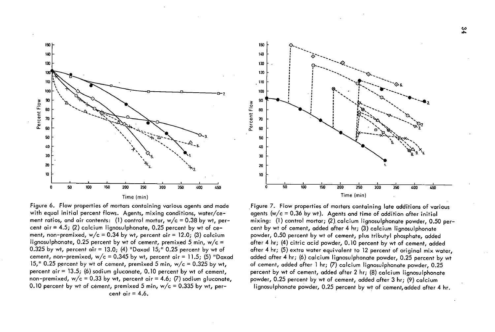





Figure 7. Flow properties of mortars containing late additions of various agents ( $w/c = 0.36$  by wt). Agents and time of addition after initial mixing: (1) control mortar; (2). calcium lignosulphonate powder, 0.50 percent by wt of cement, added after 4 hr; (3) calcium lignosulphonate powder, 0.50 percent by wt of cement, plus tributyl phosphate, added after 4 hr; (4) citric acid powder, 0.10 percent by wt of cement, added after 4 hr; (5) extra water equivalent to 12 percent of original mix water, added after 4 hr; (6) calcium lignosulphonate powder, 0.25 percent by wt of cement, added after 1 hr; *(7)* calcium lignosulphonate powder, 0.25 percent by wt of cement, added after 2 hr; (8) calcium lignosulphonate powder, 0.25 percent by wt of cement, added after 3 hr; (9) calcium lignosulphonate powder, 0.25 percent by wt of cement, added after 4 hr.